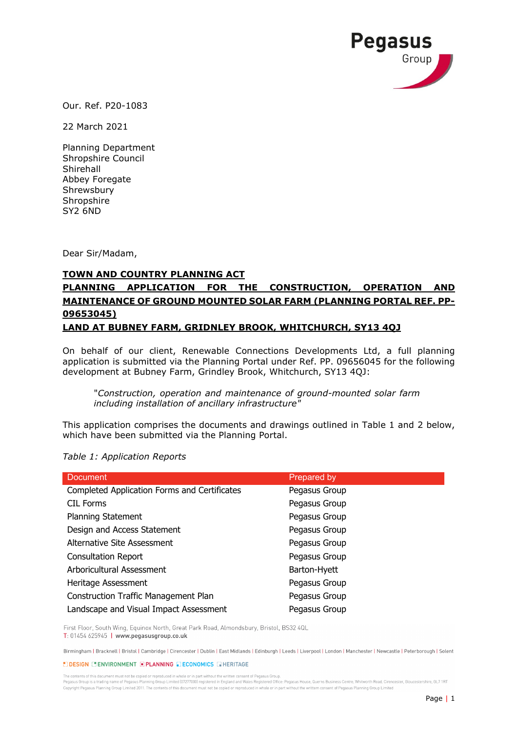

Our. Ref. P20-1083

22 March 2021

Planning Department Shropshire Council Shirehall Abbey Foregate Shrewsbury Shropshire SY2 6ND

Dear Sir/Madam,

## **TOWN AND COUNTRY PLANNING ACT**

## **PLANNING APPLICATION FOR THE CONSTRUCTION, OPERATION AND MAINTENANCE OF GROUND MOUNTED SOLAR FARM (PLANNING PORTAL REF. PP-09653045)**

## **LAND AT BUBNEY FARM, GRIDNLEY BROOK, WHITCHURCH, SY13 4QJ**

On behalf of our client, Renewable Connections Developments Ltd, a full planning application is submitted via the Planning Portal under Ref. PP. 09656045 for the following development at Bubney Farm, Grindley Brook, Whitchurch, SY13 4QJ:

"*Construction, operation and maintenance of ground-mounted solar farm including installation of ancillary infrastructure"*

This application comprises the documents and drawings outlined in Table 1 and 2 below, which have been submitted via the Planning Portal.

*Table 1: Application Reports*

| <b>Document</b>                              | Prepared by   |
|----------------------------------------------|---------------|
| Completed Application Forms and Certificates | Pegasus Group |
| <b>CIL Forms</b>                             | Pegasus Group |
| <b>Planning Statement</b>                    | Pegasus Group |
| Design and Access Statement                  | Pegasus Group |
| Alternative Site Assessment                  | Pegasus Group |
| <b>Consultation Report</b>                   | Pegasus Group |
| Arboricultural Assessment                    | Barton-Hyett  |
| Heritage Assessment                          | Pegasus Group |
| <b>Construction Traffic Management Plan</b>  | Pegasus Group |
| Landscape and Visual Impact Assessment       | Pegasus Group |

First Floor, South Wing, Equinox North, Great Park Road, Almondsbury, Bristol, BS32 4QL T: 01454 625945 | www.pegasusgroup.co.uk

Birmingham | Bracknell | Bristol | Cambridge | Cirencester | Dublin | East Midlands | Edinburgh | Leeds | Liverpool | London | Manchester | Newcastle | Peterborough | Solent

**LIDESIGN LIENVIRONMENT E PLANNING E ECONOMICS E HERITAGE** 

The contents of this document must not be copied or reproduced in whole or in part without the written consent of Pegasus Group Pegasus Group is a trading name of Pegasus Planning Group Limited (07277000) registered in England and Wales Registered Office: Pegasus House, Querns Business Centre, Whitworth Road, Cirencester, Gloucestershire, GL7 1RT Copyright Pegasus Planning Group Limited 2011. The contents of this document must not be copied or reproduced in whole or in part without the writtem consent of Pegasus Planning Group Limited